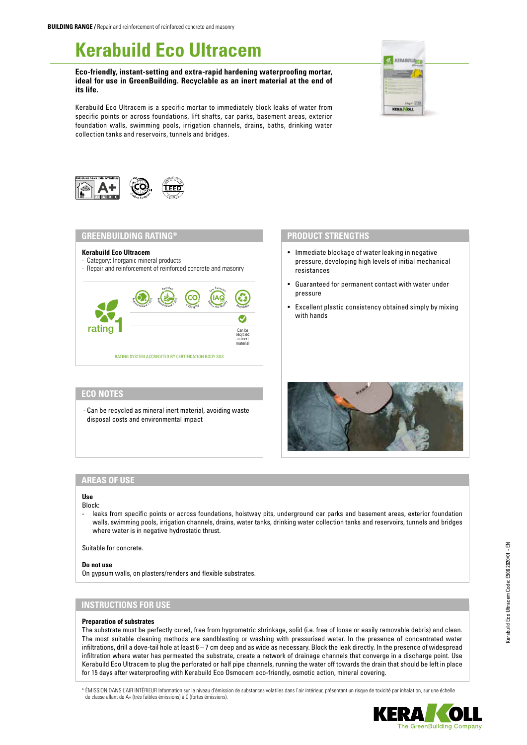# **Kerabuild Eco Ultracem**

**Eco-friendly, instant-setting and extra-rapid hardening waterproofing mortar, ideal for use in GreenBuilding. Recyclable as an inert material at the end of its life.**







## **GREENBUILDING RATING®**

#### **Kerabuild Eco Ultracem**

- Category: Inorganic mineral products
- Repair and reinforcement of reinforced concrete and masonry

75



# **ECO NOTES**

- Can be recycled as mineral inert material, avoiding waste disposal costs and environmental impact

## **PRODUCT STRENGTHS**

- Immediate blockage of water leaking in negative pressure, developing high levels of initial mechanical resistances
- Guaranteed for permanent contact with water under pressure
- Excellent plastic consistency obtained simply by mixing with hands



## **AREAS OF USE**

#### **Use** Block:

leaks from specific points or across foundations, hoistway pits, underground car parks and basement areas, exterior foundation walls, swimming pools, irrigation channels, drains, water tanks, drinking water collection tanks and reservoirs, tunnels and bridges where water is in negative hydrostatic thrust.

Suitable for concrete.

#### **Do not use**

On gypsum walls, on plasters/renders and flexible substrates.

## **INSTRUCTIONS FOR USE**

#### **Preparation of substrates**

The substrate must be perfectly cured, free from hygrometric shrinkage, solid (i.e. free of loose or easily removable debris) and clean. The most suitable cleaning methods are sandblasting or washing with pressurised water. In the presence of concentrated water infiltrations, drill a dove-tail hole at least 6 – 7 cm deep and as wide as necessary. Block the leak directly. In the presence of widespread infiltration where water has permeated the substrate, create a network of drainage channels that converge in a discharge point. Use Kerabuild Eco Ultracem to plug the perforated or half pipe channels, running the water off towards the drain that should be left in place for 15 days after waterproofing with Kerabuild Eco Osmocem eco-friendly, osmotic action, mineral covering.

\* ÉMISSION DANS L'AIR INTÉRIEUR Information sur le niveau d'émission de substances volatiles dans l'air intérieur, présentant un risque de toxicité par inhalation, sur une échelle de classe allant de A+ (très faibles émissions) à C (fortes émissions).

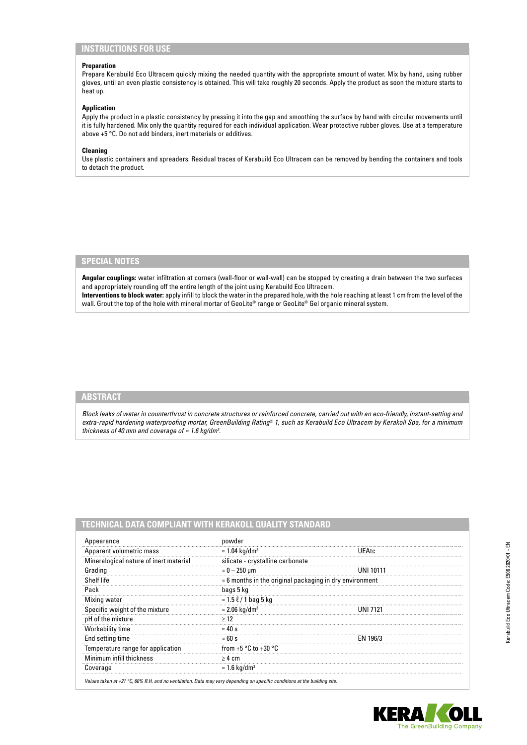# **INSTRUCTIONS FOR USE**

#### **Preparation**

Prepare Kerabuild Eco Ultracem quickly mixing the needed quantity with the appropriate amount of water. Mix by hand, using rubber gloves, until an even plastic consistency is obtained. This will take roughly 20 seconds. Apply the product as soon the mixture starts to heat up.

## **Application**

Apply the product in a plastic consistency by pressing it into the gap and smoothing the surface by hand with circular movements until it is fully hardened. Mix only the quantity required for each individual application. Wear protective rubber gloves. Use at a temperature above +5 °C. Do not add binders, inert materials or additives.

## **Cleaning**

Use plastic containers and spreaders. Residual traces of Kerabuild Eco Ultracem can be removed by bending the containers and tools to detach the product.

## **SPECIAL NOTES**

**Angular couplings:** water infiltration at corners (wall-floor or wall-wall) can be stopped by creating a drain between the two surfaces and appropriately rounding off the entire length of the joint using Kerabuild Eco Ultracem. **Interventions to block water:** apply infill to block the water in the prepared hole, with the hole reaching at least 1 cm from the level of the wall. Grout the top of the hole with mineral mortar of GeoLite® range or GeoLite® Gel organic mineral system.

# **ABSTRACT**

*Block leaks of water in counterthrust in concrete structures or reinforced concrete, carried out with an eco-friendly, instant-setting and extra-rapid hardening waterproofing mortar, GreenBuilding Rating® 1, such as Kerabuild Eco Ultracem by Kerakoll Spa, for a minimum thickness of 40 mm and coverage of ≈ 1.6 kg/dm3 .*

## **TECHNICAL DATA COMPLIANT WITH KERAKOLL QUALITY STANDARD**

| Appearance                             | powder                                                          |              |
|----------------------------------------|-----------------------------------------------------------------|--------------|
| Apparent volumetric mass               | $\approx$ 1.04 kg/dm <sup>3</sup>                               | <b>UEAtc</b> |
| Mineralogical nature of inert material | silicate - crystalline carbonate                                |              |
| Grading                                | $\approx 0-250$ µm                                              |              |
| Shelf life                             | $\approx$ 6 months in the original packaging in dry environment |              |
| Pack                                   | bags 5 kg                                                       |              |
| Mixing water                           | $\approx 1.5 \ell / 1$ bag 5 kg                                 |              |
| Specific weight of the mixture         | $\approx$ 2.06 kg/dm <sup>3</sup>                               | I INI 7121   |
| pH of the mixture                      | >12                                                             |              |
| <b>Workability time</b>                | $\approx 40 s$                                                  |              |
| End setting time                       | $\approx 60 s$                                                  | EN 196/3     |
| Temperature range for application      | from +5 $\degree$ C to +30 $\degree$ C                          |              |
| Minimum infill thickness               | $> 4 \text{ cm}$                                                |              |
| Coverage                               | $\approx$ 1.6 kg/dm <sup>3</sup>                                |              |